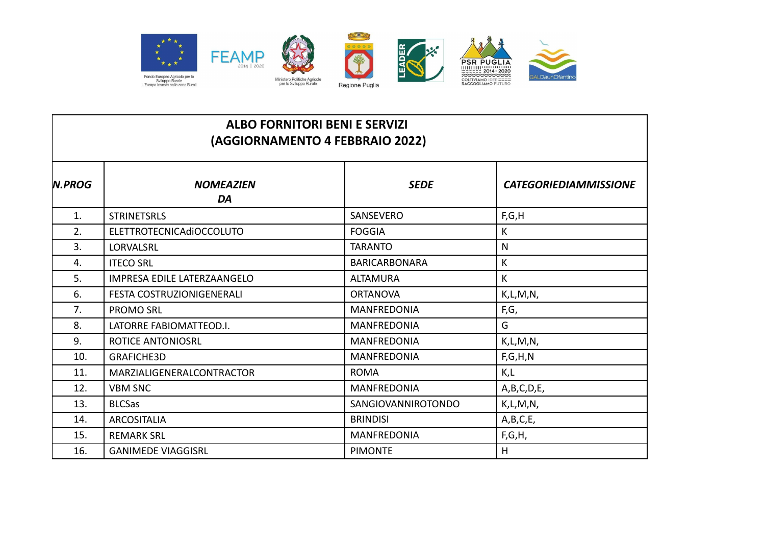

| <b>ALBO FORNITORI BENI E SERVIZI</b><br>(AGGIORNAMENTO 4 FEBBRAIO 2022) |                                 |                      |                              |
|-------------------------------------------------------------------------|---------------------------------|----------------------|------------------------------|
| <b>N.PROG</b>                                                           | <b>NOMEAZIEN</b><br>DA          | <b>SEDE</b>          | <b>CATEGORIEDIAMMISSIONE</b> |
| 1.                                                                      | <b>STRINETSRLS</b>              | <b>SANSEVERO</b>     | F, G, H                      |
| 2.                                                                      | <b>ELETTROTECNICAdiOCCOLUTO</b> | <b>FOGGIA</b>        | K                            |
| 3.                                                                      | <b>LORVALSRL</b>                | <b>TARANTO</b>       | $\mathsf{N}$                 |
| 4.                                                                      | <b>ITECO SRL</b>                | <b>BARICARBONARA</b> | К                            |
| 5.                                                                      | IMPRESA EDILE LATERZAANGELO     | <b>ALTAMURA</b>      | $\mathsf K$                  |
| 6.                                                                      | FESTA COSTRUZIONIGENERALI       | <b>ORTANOVA</b>      | K,L,M,N,                     |
| 7.                                                                      | <b>PROMO SRL</b>                | <b>MANFREDONIA</b>   | F,G,                         |
| 8.                                                                      | LATORRE FABIOMATTEOD.I.         | <b>MANFREDONIA</b>   | G                            |
| 9.                                                                      | <b>ROTICE ANTONIOSRL</b>        | <b>MANFREDONIA</b>   | K, L, M, N,                  |
| 10.                                                                     | <b>GRAFICHE3D</b>               | <b>MANFREDONIA</b>   | F, G, H, N                   |
| 11.                                                                     | MARZIALIGENERALCONTRACTOR       | <b>ROMA</b>          | K,L                          |
| 12.                                                                     | <b>VBM SNC</b>                  | <b>MANFREDONIA</b>   | A,B,C,D,E,                   |
| 13.                                                                     | <b>BLCSas</b>                   | SANGIOVANNIROTONDO   | K, L, M, N,                  |
| 14.                                                                     | <b>ARCOSITALIA</b>              | <b>BRINDISI</b>      | A,B,C,E,                     |
| 15.                                                                     | <b>REMARK SRL</b>               | <b>MANFREDONIA</b>   | F,G,H,                       |
| 16.                                                                     | <b>GANIMEDE VIAGGISRL</b>       | <b>PIMONTE</b>       | H                            |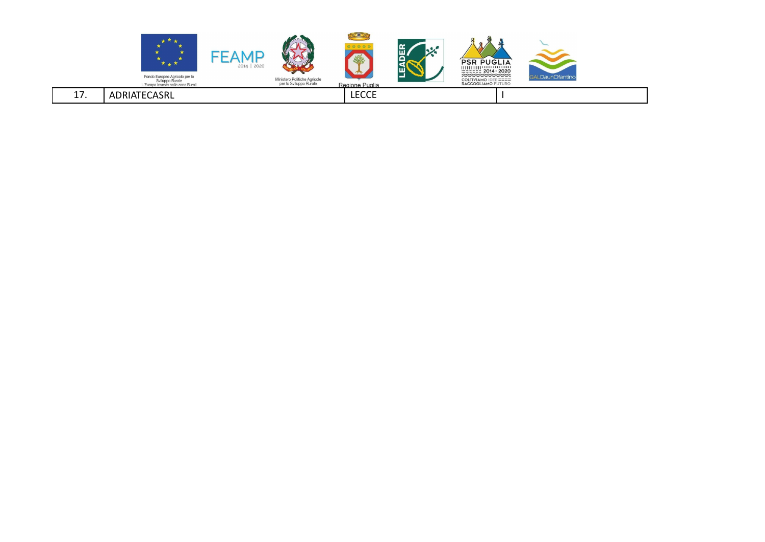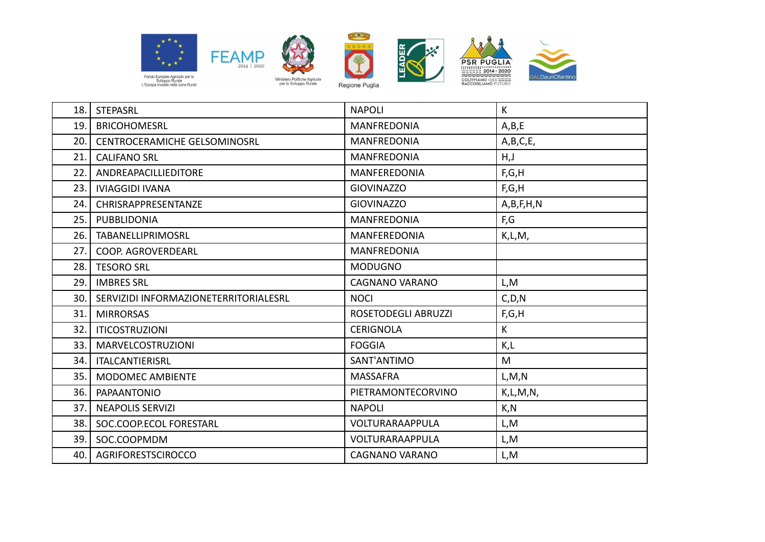











| 18. | <b>STEPASRL</b>                       | <b>NAPOLI</b>              | $\mathsf{K}$ |
|-----|---------------------------------------|----------------------------|--------------|
| 19. | <b>BRICOHOMESRL</b>                   | <b>MANFREDONIA</b>         | A,B,E        |
| 20. | <b>CENTROCERAMICHE GELSOMINOSRL</b>   | <b>MANFREDONIA</b>         | A,B,C,E,     |
| 21. | <b>CALIFANO SRL</b>                   | <b>MANFREDONIA</b>         | H, J         |
| 22. | ANDREAPACILLIEDITORE                  | <b>MANFEREDONIA</b>        | F,G,H        |
| 23. | <b>IVIAGGIDI IVANA</b>                | <b>GIOVINAZZO</b>          | F,G,H        |
| 24. | CHRISRAPPRESENTANZE                   | <b>GIOVINAZZO</b>          | A,B,F,H,N    |
| 25. | PUBBLIDONIA                           | <b>MANFREDONIA</b>         | F,G          |
| 26. | <b>TABANELLIPRIMOSRL</b>              | <b>MANFEREDONIA</b>        | K, L, M,     |
| 27. | COOP. AGROVERDEARL                    | <b>MANFREDONIA</b>         |              |
| 28. | <b>TESORO SRL</b>                     | <b>MODUGNO</b>             |              |
| 29. | <b>IMBRES SRL</b>                     | <b>CAGNANO VARANO</b>      | L,M          |
| 30. | SERVIZIDI INFORMAZIONETERRITORIALESRL | <b>NOCI</b>                | C, D, N      |
| 31. | <b>MIRRORSAS</b>                      | <b>ROSETODEGLI ABRUZZI</b> | F,G,H        |
| 32. | <b>ITICOSTRUZIONI</b>                 | <b>CERIGNOLA</b>           | $\mathsf K$  |
| 33. | <b>MARVELCOSTRUZIONI</b>              | <b>FOGGIA</b>              | K,L          |
| 34. | <b>ITALCANTIERISRL</b>                | SANT'ANTIMO                | M            |
| 35. | MODOMEC AMBIENTE                      | <b>MASSAFRA</b>            | L, M, N      |
| 36. | <b>PAPAANTONIO</b>                    | PIETRAMONTECORVINO         | K,L,M,N,     |
| 37. | <b>NEAPOLIS SERVIZI</b>               | <b>NAPOLI</b>              | K, N         |
| 38. | SOC.COOP.ECOL FORESTARL               | VOLTURARAAPPULA            | L,M          |
| 39. | SOC.COOPMDM                           | VOLTURARAAPPULA            | L,M          |
| 40. | AGRIFORESTSCIROCCO                    | <b>CAGNANO VARANO</b>      | L,M          |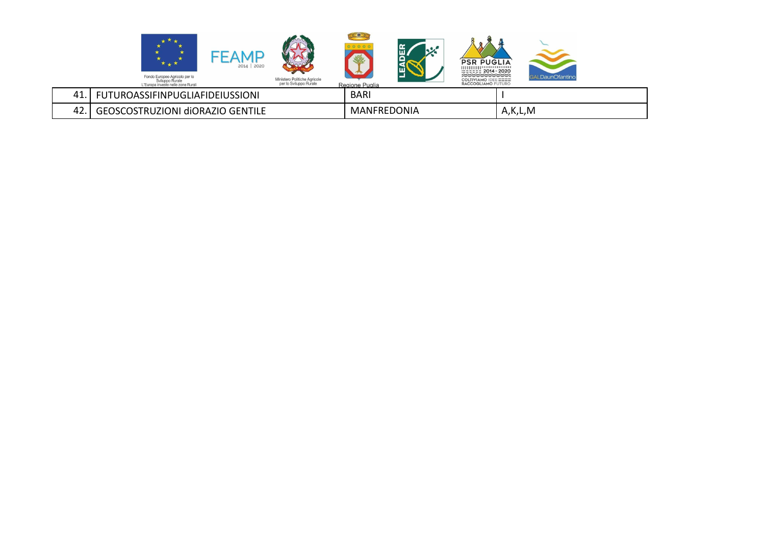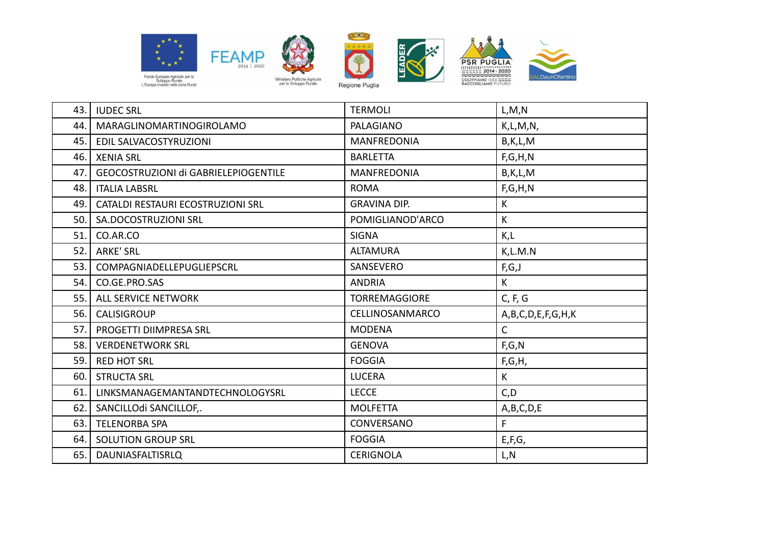









| 43. | <b>IUDEC SRL</b>                     | <b>TERMOLI</b>       | L, M, N           |
|-----|--------------------------------------|----------------------|-------------------|
| 44. | MARAGLINOMARTINOGIROLAMO             | PALAGIANO            | K, L, M, N,       |
| 45. | EDIL SALVACOSTYRUZIONI               | <b>MANFREDONIA</b>   | B,K,L,M           |
| 46. | <b>XENIA SRL</b>                     | <b>BARLETTA</b>      | F, G, H, N        |
| 47. | GEOCOSTRUZIONI di GABRIELEPIOGENTILE | <b>MANFREDONIA</b>   | B,K,L,M           |
| 48. | <b>ITALIA LABSRL</b>                 | <b>ROMA</b>          | F, G, H, N        |
| 49. | CATALDI RESTAURI ECOSTRUZIONI SRL    | <b>GRAVINA DIP.</b>  | K                 |
| 50. | SA.DOCOSTRUZIONI SRL                 | POMIGLIANOD'ARCO     | $\mathsf K$       |
| 51. | CO.AR.CO                             | <b>SIGNA</b>         | K,L               |
| 52. | <b>ARKE' SRL</b>                     | <b>ALTAMURA</b>      | K, L. M. N        |
| 53. | COMPAGNIADELLEPUGLIEPSCRL            | SANSEVERO            | F,G,J             |
| 54. | CO.GE.PRO.SAS                        | <b>ANDRIA</b>        | K                 |
| 55. | <b>ALL SERVICE NETWORK</b>           | <b>TORREMAGGIORE</b> | C, F, G           |
| 56. | <b>CALISIGROUP</b>                   | CELLINOSANMARCO      | A,B,C,D,E,F,G,H,K |
| 57. | PROGETTI DIIMPRESA SRL               | <b>MODENA</b>        | C                 |
| 58. | <b>VERDENETWORK SRL</b>              | <b>GENOVA</b>        | F,G,N             |
| 59. | <b>RED HOT SRL</b>                   | <b>FOGGIA</b>        | F,G,H,            |
| 60. | <b>STRUCTA SRL</b>                   | <b>LUCERA</b>        | K                 |
| 61. | LINKSMANAGEMANTANDTECHNOLOGYSRL      | <b>LECCE</b>         | C, D              |
| 62. | SANCILLOdi SANCILLOF,.               | <b>MOLFETTA</b>      | A,B,C,D,E         |
| 63. | <b>TELENORBA SPA</b>                 | <b>CONVERSANO</b>    | F                 |
| 64. | <b>SOLUTION GROUP SRL</b>            | <b>FOGGIA</b>        | E, F, G,          |
| 65. | DAUNIASFALTISRLQ                     | <b>CERIGNOLA</b>     | L,N               |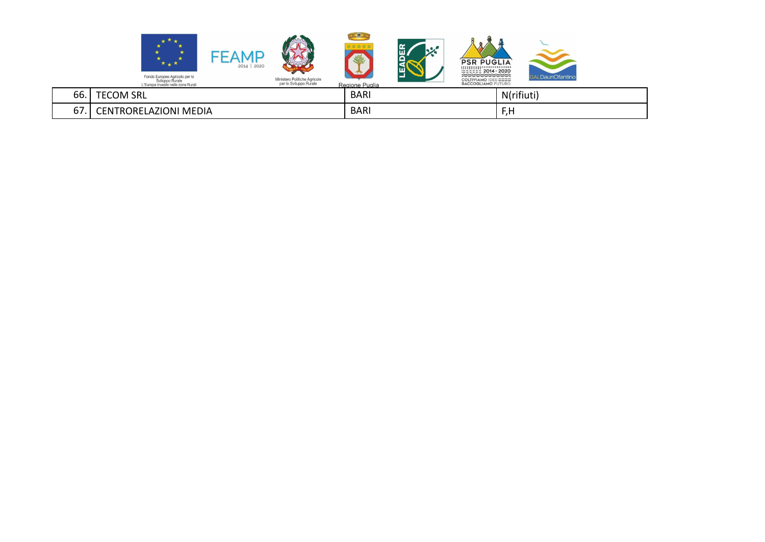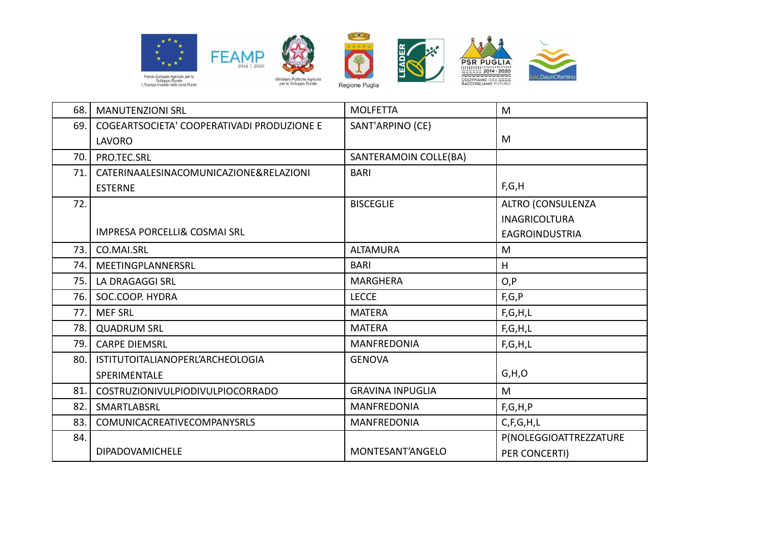

LAVORO











| 70.1  | PRO.TEC.SRL                             | SANTERAMOIN COLLE(BA)   |                          |
|-------|-----------------------------------------|-------------------------|--------------------------|
| 71.   | CATERINAALESINACOMUNICAZIONE&RELAZIONI  | <b>BARI</b>             |                          |
|       | <b>ESTERNE</b>                          |                         | F,G,H                    |
| 72.   |                                         | <b>BISCEGLIE</b>        | <b>ALTRO (CONSULENZA</b> |
|       |                                         |                         | <b>INAGRICOLTURA</b>     |
|       | <b>IMPRESA PORCELLI&amp; COSMAI SRL</b> |                         | <b>EAGROINDUSTRIA</b>    |
| 73.1  | CO.MAI.SRL                              | <b>ALTAMURA</b>         | M                        |
| 74. l | MEETINGPLANNERSRL                       | <b>BARI</b>             | H                        |
| 75.   | LA DRAGAGGI SRL                         | <b>MARGHERA</b>         | O, P                     |
| 76.   | SOC.COOP. HYDRA                         | <b>LECCE</b>            | F, G, P                  |
| 77.   | <b>MEF SRL</b>                          | <b>MATERA</b>           | F, G, H, L               |
| 78.   | <b>QUADRUM SRL</b>                      | <b>MATERA</b>           | F, G, H, L               |
| 79.   | <b>CARPE DIEMSRL</b>                    | <b>MANFREDONIA</b>      | F, G, H, L               |
| 80.   | ISTITUTOITALIANOPERL'ARCHEOLOGIA        | <b>GENOVA</b>           |                          |
|       | SPERIMENTALE                            |                         | G, H, O                  |
| 81.   | <b>COSTRUZIONIVULPIODIVULPIOCORRADO</b> | <b>GRAVINA INPUGLIA</b> | M                        |
| 82.   | SMARTLABSRL                             | <b>MANFREDONIA</b>      | F, G, H, P               |
| 83.   | <b>COMUNICACREATIVECOMPANYSRLS</b>      | MANFREDONIA             | C, F, G, H, L            |
| 84.   |                                         |                         | P(NOLEGGIOATTREZZATURE   |
|       | DIPADOVAMICHELE                         | MONTESANT'ANGELO        | PER CONCERTI)            |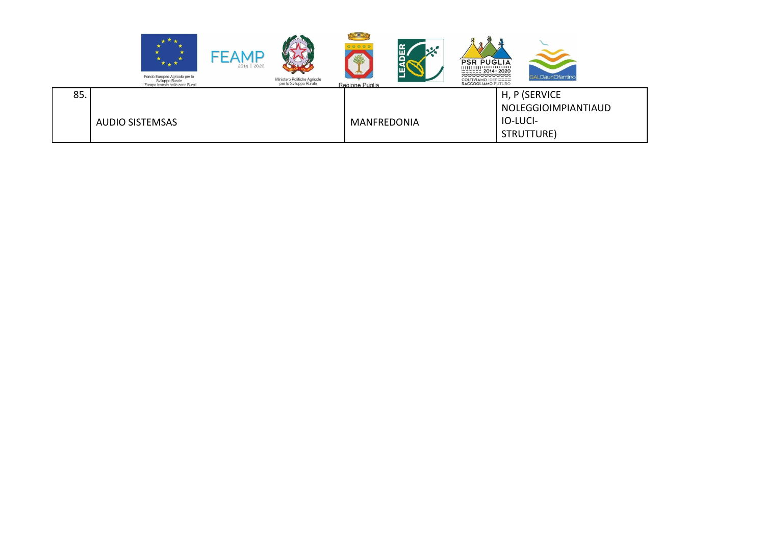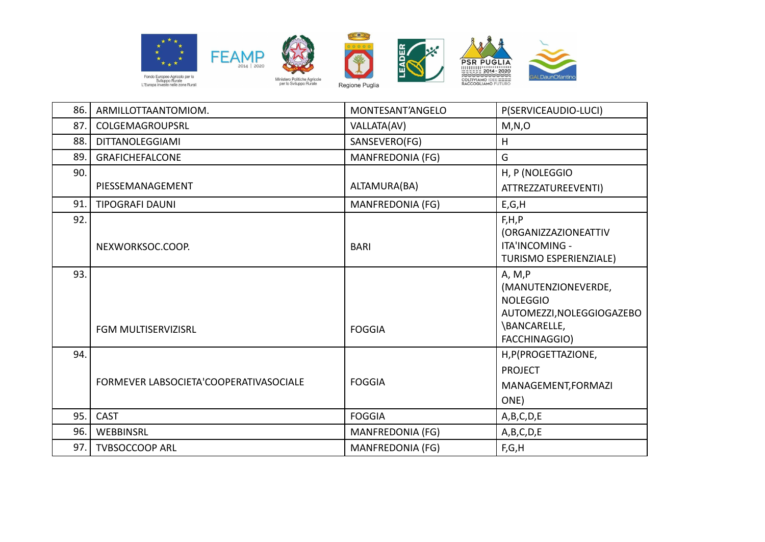